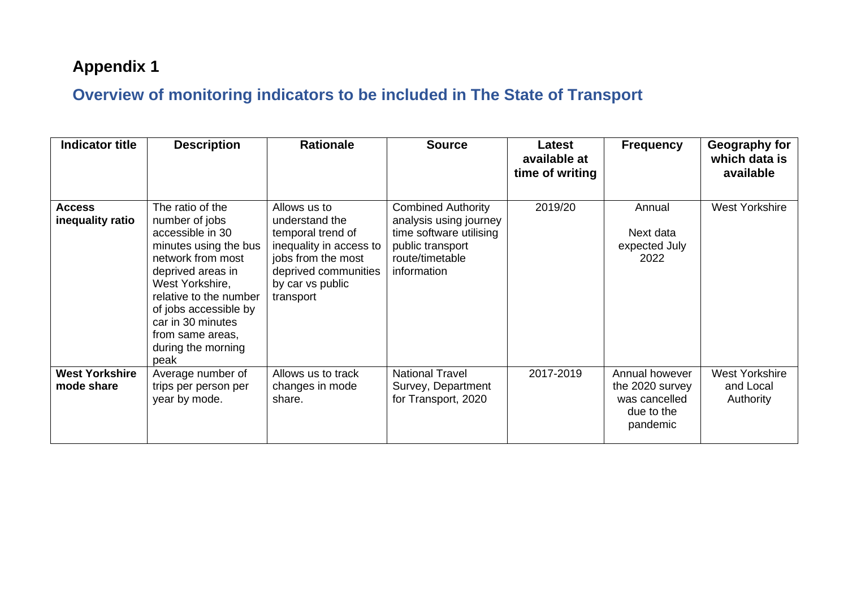## **Appendix 1**

## **Overview of monitoring indicators to be included in The State of Transport**

| <b>Indicator title</b>              | <b>Description</b>                                                                                                                                                                                                                                                     | <b>Rationale</b>                                                                                                                                              | <b>Source</b>                                                                                                                        | Latest<br>available at<br>time of writing | <b>Frequency</b>                                                             | Geography for<br>which data is<br>available     |
|-------------------------------------|------------------------------------------------------------------------------------------------------------------------------------------------------------------------------------------------------------------------------------------------------------------------|---------------------------------------------------------------------------------------------------------------------------------------------------------------|--------------------------------------------------------------------------------------------------------------------------------------|-------------------------------------------|------------------------------------------------------------------------------|-------------------------------------------------|
| <b>Access</b><br>inequality ratio   | The ratio of the<br>number of jobs<br>accessible in 30<br>minutes using the bus<br>network from most<br>deprived areas in<br>West Yorkshire,<br>relative to the number<br>of jobs accessible by<br>car in 30 minutes<br>from same areas,<br>during the morning<br>peak | Allows us to<br>understand the<br>temporal trend of<br>inequality in access to<br>jobs from the most<br>deprived communities<br>by car vs public<br>transport | <b>Combined Authority</b><br>analysis using journey<br>time software utilising<br>public transport<br>route/timetable<br>information | 2019/20                                   | Annual<br>Next data<br>expected July<br>2022                                 | <b>West Yorkshire</b>                           |
| <b>West Yorkshire</b><br>mode share | Average number of<br>trips per person per<br>year by mode.                                                                                                                                                                                                             | Allows us to track<br>changes in mode<br>share.                                                                                                               | <b>National Travel</b><br>Survey, Department<br>for Transport, 2020                                                                  | 2017-2019                                 | Annual however<br>the 2020 survey<br>was cancelled<br>due to the<br>pandemic | <b>West Yorkshire</b><br>and Local<br>Authority |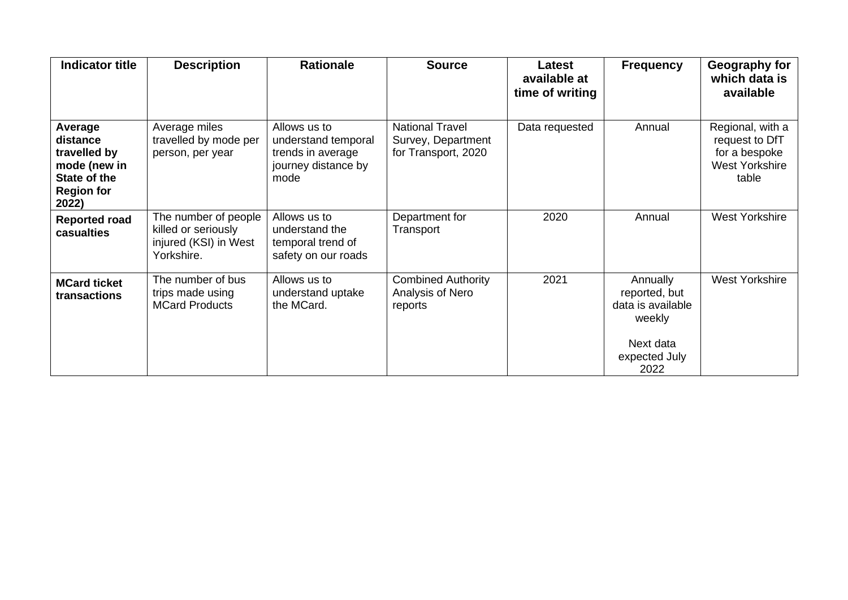| <b>Indicator title</b>                                                                            | <b>Description</b>                                                                 | <b>Rationale</b>                                                                        | <b>Source</b>                                                       | Latest<br>available at<br>time of writing | <b>Frequency</b>                                                                               | Geography for<br>which data is<br>available                                    |
|---------------------------------------------------------------------------------------------------|------------------------------------------------------------------------------------|-----------------------------------------------------------------------------------------|---------------------------------------------------------------------|-------------------------------------------|------------------------------------------------------------------------------------------------|--------------------------------------------------------------------------------|
| Average<br>distance<br>travelled by<br>mode (new in<br>State of the<br><b>Region for</b><br>2022) | Average miles<br>travelled by mode per<br>person, per year                         | Allows us to<br>understand temporal<br>trends in average<br>journey distance by<br>mode | <b>National Travel</b><br>Survey, Department<br>for Transport, 2020 | Data requested                            | Annual                                                                                         | Regional, with a<br>request to DfT<br>for a bespoke<br>West Yorkshire<br>table |
| <b>Reported road</b><br>casualties                                                                | The number of people<br>killed or seriously<br>injured (KSI) in West<br>Yorkshire. | Allows us to<br>understand the<br>temporal trend of<br>safety on our roads              | Department for<br>Transport                                         | 2020                                      | Annual                                                                                         | <b>West Yorkshire</b>                                                          |
| <b>MCard ticket</b><br>transactions                                                               | The number of bus<br>trips made using<br><b>MCard Products</b>                     | Allows us to<br>understand uptake<br>the MCard.                                         | <b>Combined Authority</b><br>Analysis of Nero<br>reports            | 2021                                      | Annually<br>reported, but<br>data is available<br>weekly<br>Next data<br>expected July<br>2022 | <b>West Yorkshire</b>                                                          |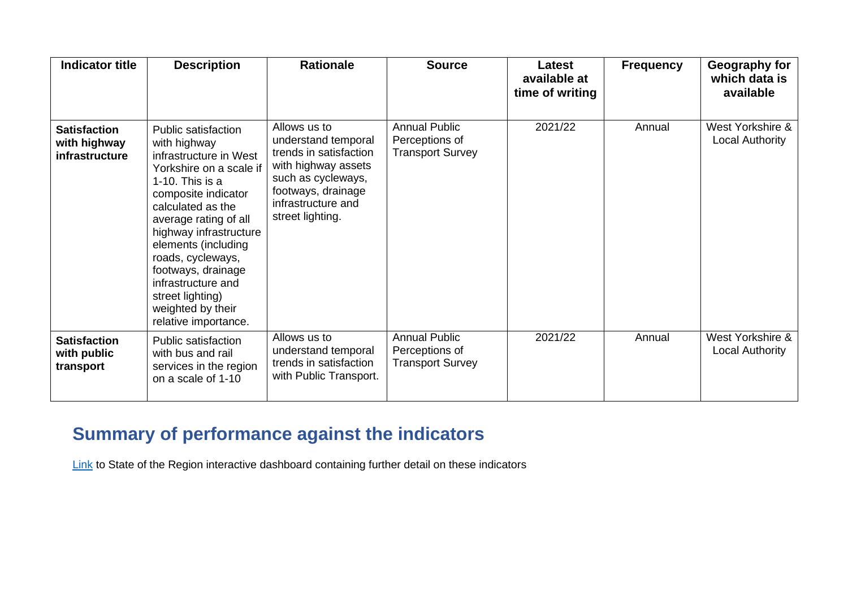| <b>Indicator title</b>                                | <b>Description</b>                                                                                                                                                                                                                                                                                                                                                         | <b>Rationale</b>                                                                                                                                                           | <b>Source</b>                                                     | Latest<br>available at<br>time of writing | <b>Frequency</b> | Geography for<br>which data is<br>available |
|-------------------------------------------------------|----------------------------------------------------------------------------------------------------------------------------------------------------------------------------------------------------------------------------------------------------------------------------------------------------------------------------------------------------------------------------|----------------------------------------------------------------------------------------------------------------------------------------------------------------------------|-------------------------------------------------------------------|-------------------------------------------|------------------|---------------------------------------------|
| <b>Satisfaction</b><br>with highway<br>infrastructure | <b>Public satisfaction</b><br>with highway<br>infrastructure in West<br>Yorkshire on a scale if<br>1-10. This is a<br>composite indicator<br>calculated as the<br>average rating of all<br>highway infrastructure<br>elements (including<br>roads, cycleways,<br>footways, drainage<br>infrastructure and<br>street lighting)<br>weighted by their<br>relative importance. | Allows us to<br>understand temporal<br>trends in satisfaction<br>with highway assets<br>such as cycleways,<br>footways, drainage<br>infrastructure and<br>street lighting. | <b>Annual Public</b><br>Perceptions of<br><b>Transport Survey</b> | 2021/22                                   | Annual           | West Yorkshire &<br>Local Authority         |
| <b>Satisfaction</b><br>with public<br>transport       | <b>Public satisfaction</b><br>with bus and rail<br>services in the region<br>on a scale of 1-10                                                                                                                                                                                                                                                                            | Allows us to<br>understand temporal<br>trends in satisfaction<br>with Public Transport.                                                                                    | <b>Annual Public</b><br>Perceptions of<br><b>Transport Survey</b> | 2021/22                                   | Annual           | West Yorkshire &<br>Local Authority         |

## **Summary of performance against the indicators**

**[Link](https://app.powerbi.com/view?r=eyJrIjoiOTU3MmY1MDUtMDM3Ni00ODJjLTkxOTktYjg3NWVhM2ZiNTQ3IiwidCI6IjM0ZTkzYmZjLWVlNjYtNDM0NS1hNGZlLTgwNWI2N2U0ODBjMCIsImMiOjh9)** to State of the Region interactive dashboard containing further detail on these indicators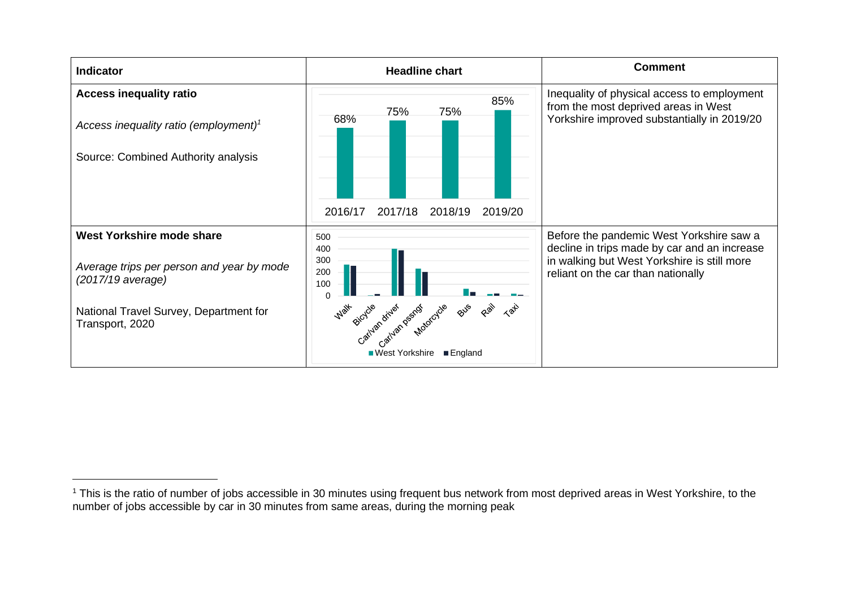| <b>Indicator</b>                                                                                                                                         | <b>Headline chart</b>                                                                                                                                                       | <b>Comment</b>                                                                                                                                                                |
|----------------------------------------------------------------------------------------------------------------------------------------------------------|-----------------------------------------------------------------------------------------------------------------------------------------------------------------------------|-------------------------------------------------------------------------------------------------------------------------------------------------------------------------------|
| <b>Access inequality ratio</b><br>Access inequality ratio (employment) <sup>1</sup><br>Source: Combined Authority analysis                               | 85%<br>75%<br>75%<br>68%<br>2017/18<br>2016/17<br>2018/19<br>2019/20                                                                                                        | Inequality of physical access to employment<br>from the most deprived areas in West<br>Yorkshire improved substantially in 2019/20                                            |
| West Yorkshire mode share<br>Average trips per person and year by mode<br>(2017/19 average)<br>National Travel Survey, Department for<br>Transport, 2020 | 500<br>400<br>300<br>200<br>100<br>$\Omega$<br>Rail<br>BUS<br>$\langle 2\rangle$<br>Gatyan dryan psychological<br><b>Walk</b><br>■ West Yorkshire<br>$\blacksquare$ England | Before the pandemic West Yorkshire saw a<br>decline in trips made by car and an increase<br>in walking but West Yorkshire is still more<br>reliant on the car than nationally |

<sup>&</sup>lt;sup>1</sup> This is the ratio of number of jobs accessible in 30 minutes using frequent bus network from most deprived areas in West Yorkshire, to the number of jobs accessible by car in 30 minutes from same areas, during the morning peak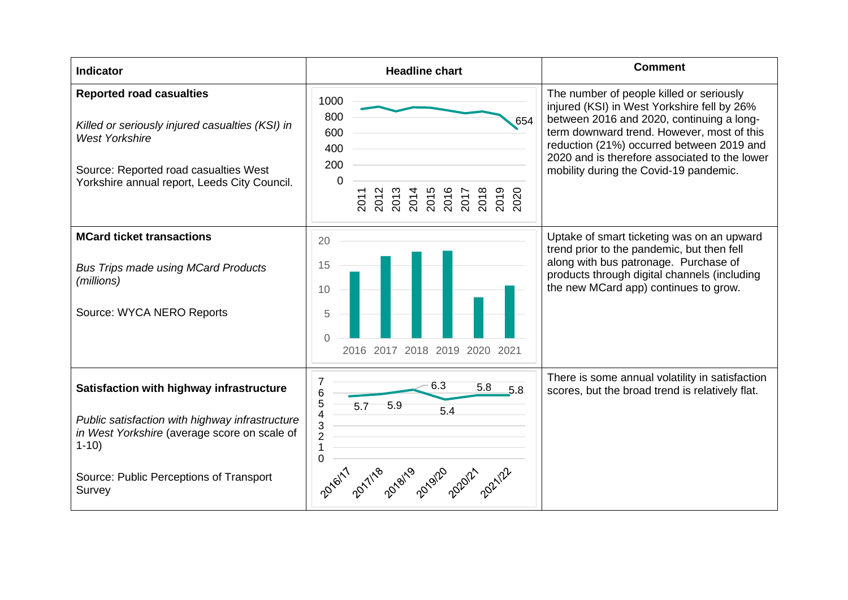| <b>Indicator</b>                                                                                                                                                                                             | <b>Headline chart</b>                                                                                                       | <b>Comment</b>                                                                                                                                                                                                                                                                                                             |
|--------------------------------------------------------------------------------------------------------------------------------------------------------------------------------------------------------------|-----------------------------------------------------------------------------------------------------------------------------|----------------------------------------------------------------------------------------------------------------------------------------------------------------------------------------------------------------------------------------------------------------------------------------------------------------------------|
| <b>Reported road casualties</b><br>Killed or seriously injured casualties (KSI) in<br><b>West Yorkshire</b><br>Source: Reported road casualties West<br>Yorkshire annual report, Leeds City Council.         | 1000<br>800<br>654<br>600<br>400<br>200<br>0<br>2012<br>2013<br>2014<br>2015<br>2016<br>2020<br>2018<br>2019<br>2011<br>201 | The number of people killed or seriously<br>injured (KSI) in West Yorkshire fell by 26%<br>between 2016 and 2020, continuing a long-<br>term downward trend. However, most of this<br>reduction (21%) occurred between 2019 and<br>2020 and is therefore associated to the lower<br>mobility during the Covid-19 pandemic. |
| <b>MCard ticket transactions</b><br><b>Bus Trips made using MCard Products</b><br>(millions)<br>Source: WYCA NERO Reports                                                                                    | 20<br>15<br>10<br>5<br>2016 2017 2018 2019 2020 2021                                                                        | Uptake of smart ticketing was on an upward<br>trend prior to the pandemic, but then fell<br>along with bus patronage. Purchase of<br>products through digital channels (including<br>the new MCard app) continues to grow.                                                                                                 |
| Satisfaction with highway infrastructure<br>Public satisfaction with highway infrastructure<br>in West Yorkshire (average score on scale of<br>$1 - 10$<br>Source: Public Perceptions of Transport<br>Survey | 7<br>6.3<br>5.8<br>5.8<br>6<br>5<br>5.9<br>5.7<br>5.4<br>4<br>3<br>$\overline{c}$<br>1<br>$\overline{0}$                    | There is some annual volatility in satisfaction<br>scores, but the broad trend is relatively flat.                                                                                                                                                                                                                         |